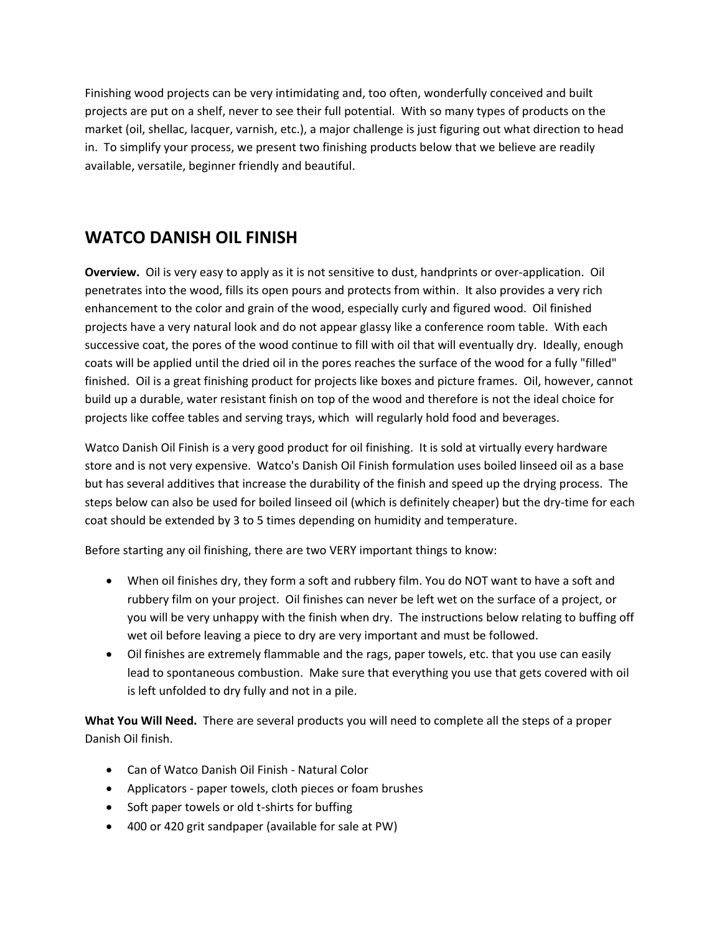Finishing wood projects can be very intimidating and, too often, wonderfully conceived and built projects are put on a shelf, never to see their full potential. With so many types of products on the market (oil, shellac, lacquer, varnish, etc.), a major challenge is just figuring out what direction to head in. To simplify your process, we present two finishing products below that we believe are readily available, versatile, beginner friendly and beautiful.

## **WATCO DANISH OIL FINISH**

**Overview.** Oil is very easy to apply as it is not sensitive to dust, handprints or over‐application. Oil penetrates into the wood, fills its open pours and protects from within. It also provides a very rich enhancement to the color and grain of the wood, especially curly and figured wood. Oil finished projects have a very natural look and do not appear glassy like a conference room table. With each successive coat, the pores of the wood continue to fill with oil that will eventually dry. Ideally, enough coats will be applied until the dried oil in the pores reaches the surface of the wood for a fully "filled" finished. Oil is a great finishing product for projects like boxes and picture frames. Oil, however, cannot build up a durable, water resistant finish on top of the wood and therefore is not the ideal choice for projects like coffee tables and serving trays, which will regularly hold food and beverages.

Watco Danish Oil Finish is a very good product for oil finishing. It is sold at virtually every hardware store and is not very expensive. Watco's Danish Oil Finish formulation uses boiled linseed oil as a base but has several additives that increase the durability of the finish and speed up the drying process. The steps below can also be used for boiled linseed oil (which is definitely cheaper) but the dry‐time for each coat should be extended by 3 to 5 times depending on humidity and temperature.

Before starting any oil finishing, there are two VERY important things to know:

- When oil finishes dry, they form a soft and rubbery film. You do NOT want to have a soft and rubbery film on your project. Oil finishes can never be left wet on the surface of a project, or you will be very unhappy with the finish when dry. The instructions below relating to buffing off wet oil before leaving a piece to dry are very important and must be followed.
- Oil finishes are extremely flammable and the rags, paper towels, etc. that you use can easily lead to spontaneous combustion. Make sure that everything you use that gets covered with oil is left unfolded to dry fully and not in a pile.

**What You Will Need.** There are several products you will need to complete all the steps of a proper Danish Oil finish.

- Can of Watco Danish Oil Finish Natural Color
- Applicators paper towels, cloth pieces or foam brushes
- Soft paper towels or old t-shirts for buffing
- 400 or 420 grit sandpaper (available for sale at PW)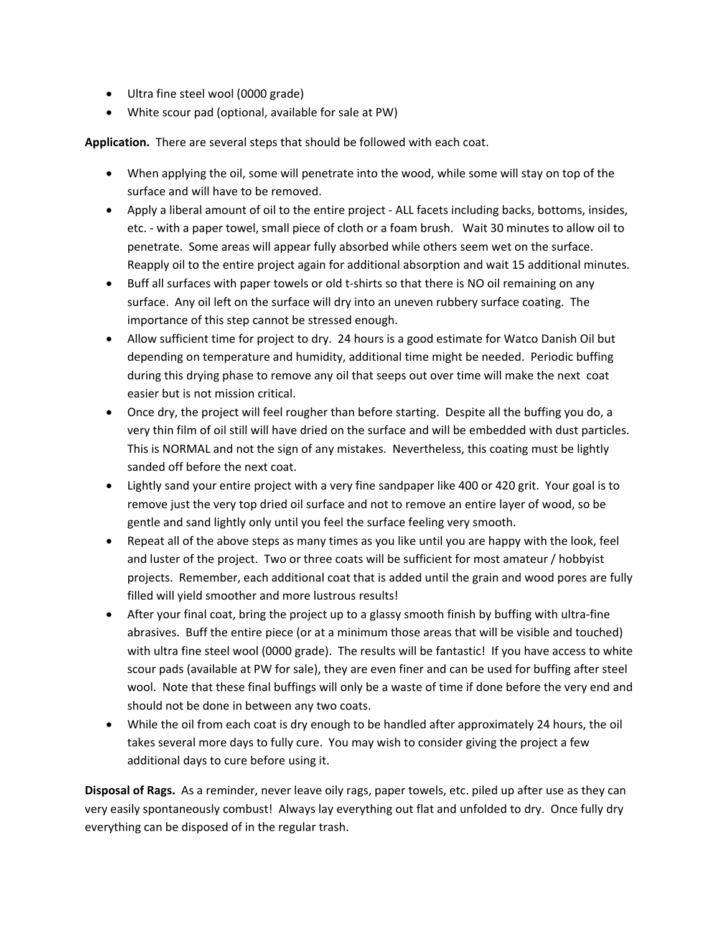- Ultra fine steel wool (0000 grade)
- White scour pad (optional, available for sale at PW)

**Application.** There are several steps that should be followed with each coat.

- When applying the oil, some will penetrate into the wood, while some will stay on top of the surface and will have to be removed.
- Apply a liberal amount of oil to the entire project ALL facets including backs, bottoms, insides, etc. ‐ with a paper towel, small piece of cloth or a foam brush. Wait 30 minutes to allow oil to penetrate. Some areas will appear fully absorbed while others seem wet on the surface. Reapply oil to the entire project again for additional absorption and wait 15 additional minutes.
- Buff all surfaces with paper towels or old t-shirts so that there is NO oil remaining on any surface. Any oil left on the surface will dry into an uneven rubbery surface coating. The importance of this step cannot be stressed enough.
- Allow sufficient time for project to dry. 24 hours is a good estimate for Watco Danish Oil but depending on temperature and humidity, additional time might be needed. Periodic buffing during this drying phase to remove any oil that seeps out over time will make the next coat easier but is not mission critical.
- Once dry, the project will feel rougher than before starting. Despite all the buffing you do, a very thin film of oil still will have dried on the surface and will be embedded with dust particles. This is NORMAL and not the sign of any mistakes. Nevertheless, this coating must be lightly sanded off before the next coat.
- Lightly sand your entire project with a very fine sandpaper like 400 or 420 grit. Your goal is to remove just the very top dried oil surface and not to remove an entire layer of wood, so be gentle and sand lightly only until you feel the surface feeling very smooth.
- Repeat all of the above steps as many times as you like until you are happy with the look, feel and luster of the project. Two or three coats will be sufficient for most amateur / hobbyist projects. Remember, each additional coat that is added until the grain and wood pores are fully filled will yield smoother and more lustrous results!
- After your final coat, bring the project up to a glassy smooth finish by buffing with ultra-fine abrasives. Buff the entire piece (or at a minimum those areas that will be visible and touched) with ultra fine steel wool (0000 grade). The results will be fantastic! If you have access to white scour pads (available at PW for sale), they are even finer and can be used for buffing after steel wool. Note that these final buffings will only be a waste of time if done before the very end and should not be done in between any two coats.
- While the oil from each coat is dry enough to be handled after approximately 24 hours, the oil takes several more days to fully cure. You may wish to consider giving the project a few additional days to cure before using it.

**Disposal of Rags.** As a reminder, never leave oily rags, paper towels, etc. piled up after use as they can very easily spontaneously combust! Always lay everything out flat and unfolded to dry. Once fully dry everything can be disposed of in the regular trash.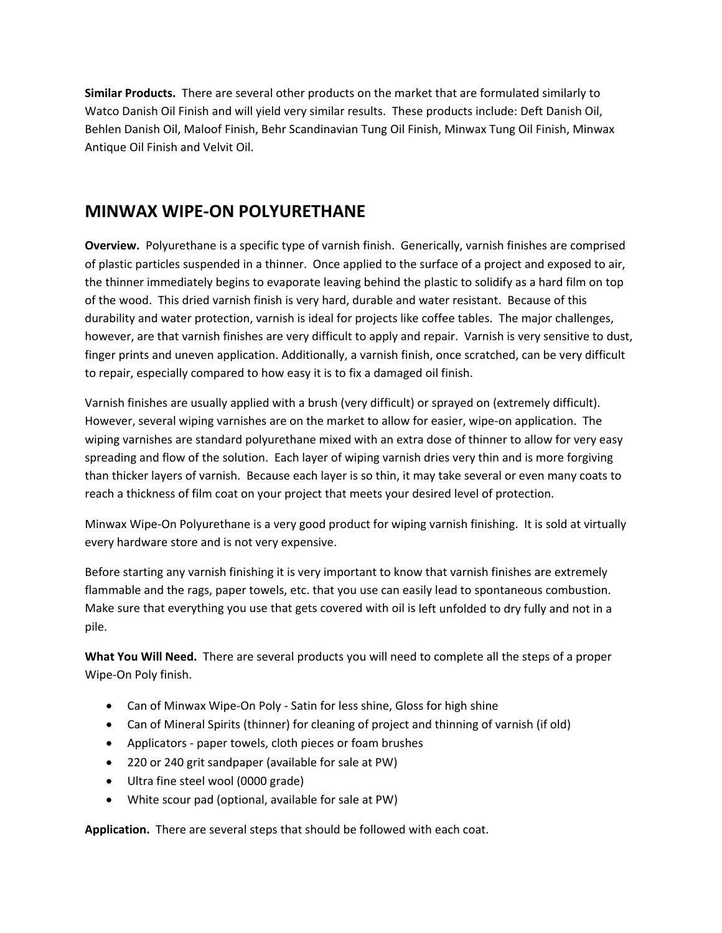**Similar Products.** There are several other products on the market that are formulated similarly to Watco Danish Oil Finish and will yield very similar results. These products include: Deft Danish Oil, Behlen Danish Oil, Maloof Finish, Behr Scandinavian Tung Oil Finish, Minwax Tung Oil Finish, Minwax Antique Oil Finish and Velvit Oil.

## **MINWAX WIPE‐ON POLYURETHANE**

**Overview.** Polyurethane is a specific type of varnish finish. Generically, varnish finishes are comprised of plastic particles suspended in a thinner. Once applied to the surface of a project and exposed to air, the thinner immediately begins to evaporate leaving behind the plastic to solidify as a hard film on top of the wood. This dried varnish finish is very hard, durable and water resistant. Because of this durability and water protection, varnish is ideal for projects like coffee tables. The major challenges, however, are that varnish finishes are very difficult to apply and repair. Varnish is very sensitive to dust, finger prints and uneven application. Additionally, a varnish finish, once scratched, can be very difficult to repair, especially compared to how easy it is to fix a damaged oil finish.

Varnish finishes are usually applied with a brush (very difficult) or sprayed on (extremely difficult). However, several wiping varnishes are on the market to allow for easier, wipe-on application. The wiping varnishes are standard polyurethane mixed with an extra dose of thinner to allow for very easy spreading and flow of the solution. Each layer of wiping varnish dries very thin and is more forgiving than thicker layers of varnish. Because each layer is so thin, it may take several or even many coats to reach a thickness of film coat on your project that meets your desired level of protection.

Minwax Wipe‐On Polyurethane is a very good product for wiping varnish finishing. It is sold at virtually every hardware store and is not very expensive.

Before starting any varnish finishing it is very important to know that varnish finishes are extremely flammable and the rags, paper towels, etc. that you use can easily lead to spontaneous combustion. Make sure that everything you use that gets covered with oil is left unfolded to dry fully and not in a pile.

**What You Will Need.** There are several products you will need to complete all the steps of a proper Wipe‐On Poly finish.

- Can of Minwax Wipe-On Poly Satin for less shine, Gloss for high shine
- Can of Mineral Spirits (thinner) for cleaning of project and thinning of varnish (if old)
- Applicators paper towels, cloth pieces or foam brushes
- 220 or 240 grit sandpaper (available for sale at PW)
- Ultra fine steel wool (0000 grade)
- White scour pad (optional, available for sale at PW)

**Application.** There are several steps that should be followed with each coat.